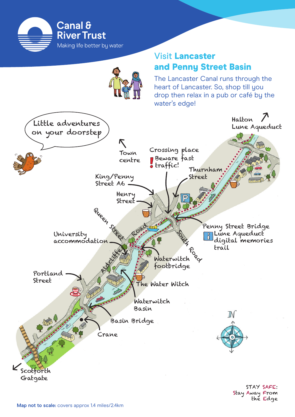

## Visit Lancaster and Penny Street Basin

The Lancaster Canal runs through the heart of Lancaster. So, shop till you drop then relax in a pub or café by the water's edge!

Stay Away From

the Edge